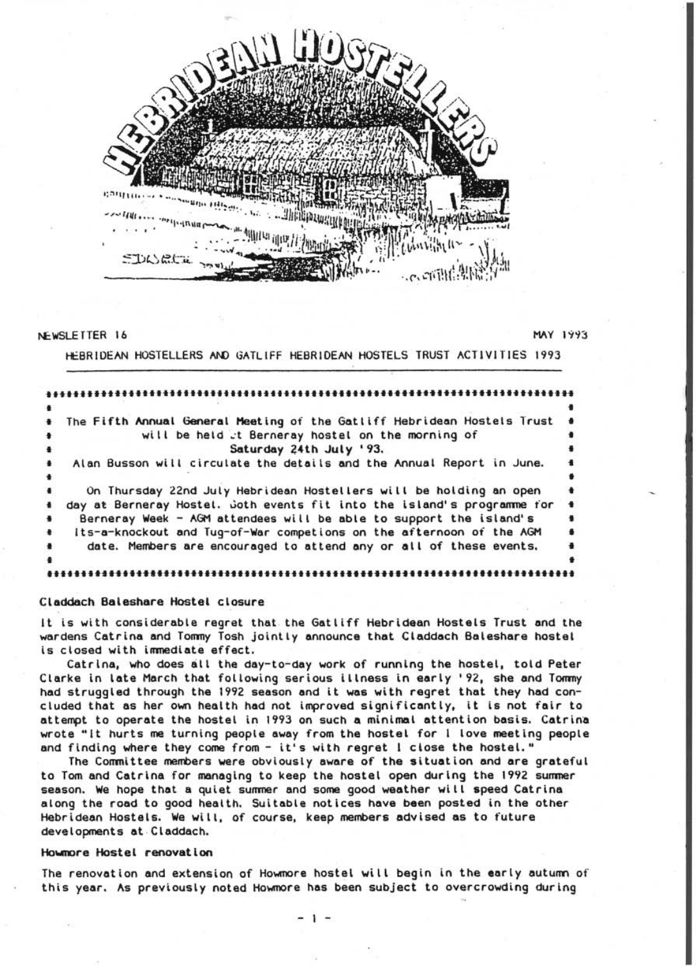

#### NEWSLETTER 16

**MAY 1993** 

HEBRIDEAN HOSTELLERS AND GATLIFF HEBRIDEAN HOSTELS TRUST ACTIVITIES 1993

|                      | The Fifth Annual General Meeting of the Gatliff Hebridean Hostels Trust |  |
|----------------------|-------------------------------------------------------------------------|--|
|                      | will be held at Berneray hostel on the morning of                       |  |
|                      | Saturday 24th July '93.                                                 |  |
|                      | Alan Busson will circulate the details and the Annual Report in June.   |  |
|                      |                                                                         |  |
|                      | On Thursday 22nd July Hebridean Hostellers will be holding an open      |  |
|                      | day at Berneray Hostel. Goth events fit into the island's programme for |  |
| $\ddot{\phantom{1}}$ | Berneray Week - AGM attendees will be able to support the island's      |  |
| $\ddot{\phantom{1}}$ | Its-a-knockout and Tug-of-War competions on the afternoon of the AGM    |  |
|                      | date. Members are encouraged to attend any or all of these events,      |  |
|                      |                                                                         |  |
|                      |                                                                         |  |

#### Claddach Baleshare Hostel closure

It is with considerable regret that. the Gatliff Hebridean Hostels Trust and the wardens Catrina and Tommy Tosh jointly announce that Claddach Baleshare hostel is closed with immediate effect.

Catrlna, who does all the day-to-day work of running the hostel, told Peter Clarke in late March that following serious illness in early '92, she and Tommy had struggled through the 1992 season and it was with regret that they had concluded that as her own health had not improved significantly. it is not fair to attempt to operate the hostel in 1993 on such a minimal atlention basis. Catrine wrote "It hurts me turning people away from the hostel for l love meeting people and finding where they come from - it's with regret I close the hostel."

The Committee members were obviously aware of the situation and are grateful to Tom and Catrina for managing to keep the hostel open during the 1992 summer season. We hope that a quiet summer and some good weather will speed Catrina along the road to good health. Suitable notices have been posted in the other Hebridean Hostels. We will. of course. keep members advised as to future developments at Claddach.

## Hownore Hostel renovatlon

The renovation and extension of Howmore hostel will begin in the early autumn of this year. As previously noted Howmore has been subject to overcrowding during

- 1 -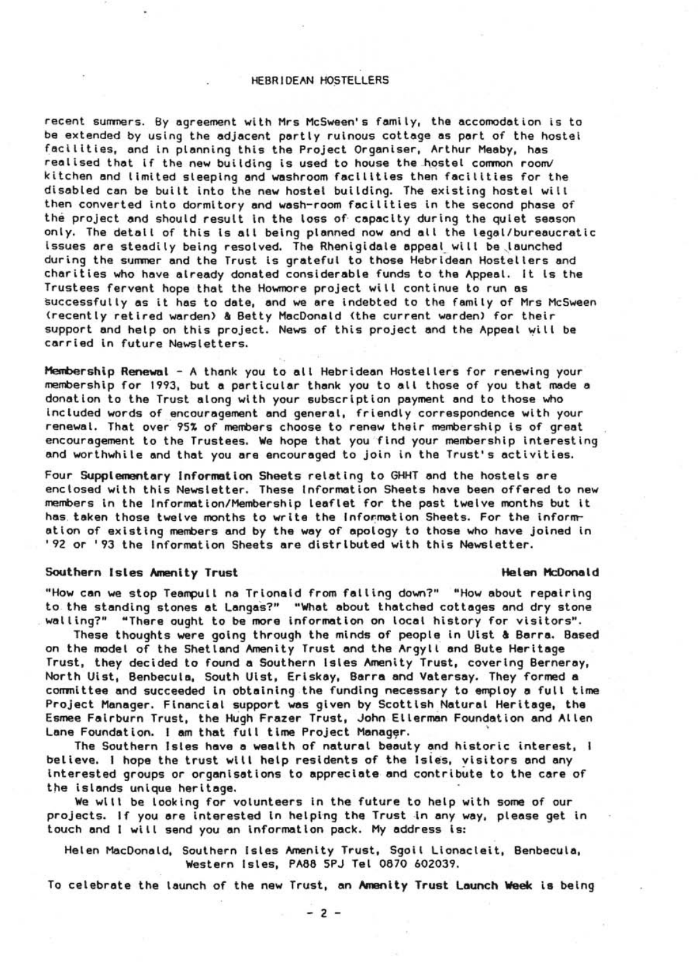# HEBRIDEAN HOSTELLERS

recent summers. By agreement with Mrs McSween's family, the accomodation is to be extended by using the adjacent partly ruinous cottage as part of the hostel facilities, and in planning this the Project Organlser, Arthur Meaby, has realised that if the new building is used to house the hostel common room/ kitchen and limited sleeping and washroom facilities then facilities for the disabled can be built into the new hostel building. The existing hostel will then converted into dormitory and wash-room facilities in the second phase of the project and should result in the loss of capacity during the quiet season only. The detail of this Is all being planned now and all the legal/bureeucratic issues are steadily being resolved. The Rhenigidale appeal will be launched during the sunmer and the Trust is grateful to those Hebrldean Hostellers and charities who have already donated considerable funds to the Appeel. It Is the Trustees fervent hope that the Howmore project will continue to run as successfully as it has to date, and we ere indebted to the femily of Mrs McSween (recently retired warden) & Betty MacDonald (the current warden> for their support and help on this project. News of this project and the Appeel will be carried in future Newsletters.

Membership Renewal - A thank you to all Hebridean Hostellers for renewing your membership for 1993, but a perticular thank you to all those of you that made e donation to the Trust along with your subscription payment and to those who included words of encouragement and general, friendly correspondence with your renewal. That over 95% of members choose to renew their membership is of great encouragement to the Trustees. We hope that you 'find your membership interesting end worthwhile and that you are encoureged to join in the Trust's activities.

Four Supplementary Information Sheets relating to GHHT and the hostels are enclosed with this Newsletter. These Information Sheets heve been offered to new members in the Information/Membership leeflet for the past twelve months but it has, teken those twelve months to write the Information Sheets. For the informr etion of existing members and by the way of apology to those who have Joined in '92 or '93 the Information Sheets are distributed with this Newsletter.

# Southern Isles Amenity Trust He I en l1cOona I d

"How can we stop Teampull na Trionald from falling down?" "How about repairing to the standing stones at Langas?" "What about thatched cottages and dry stone walling?" "There ought to be more information on local history for visitors".

These thoughts were going through the minds of people in Ulst & Barra. Based on the model of the Shetland Amenity Trust and the Argyll and Bute Heritage Trust, they decided to found a Southern Isles Amenity Trust, covering Bernerey, North Uist, Benbecule, South Ulst, Erlskay, Berra and vatersay. They formed a committee and succeeded in obtaining the funding necessary to employ a full time Project Manager. Flnanciel support was given by Scottish Natural Heritage, the Esmee Fairburn Trust, the Hugh Frazer Trust, John Ellerman Foundation and Allen Lane Foundation. I am that full time Project Manager.

The Southern Isles have a wealth of natural beauty and historic interest, I believe. I hope the trust will help residents of the Isles, visitors and any interested groups or organisations to appreciate and contribute to the care of the islands unique heritege.

We will be looking for volunteers In the future to help with some of our projects. If you are interested in helping the Trust in any way, please get in touch and I will send you an Information pack. My eddress Is:

Helen MacDonald, Southern Isles Amenity Trust, Sgoil Lionacleit, Benbecula, Western Isles, PA66 SPJ Tel 0670 602039.

To celebrate the leunch of the new Trust, an Amenity Trust Launch Week is being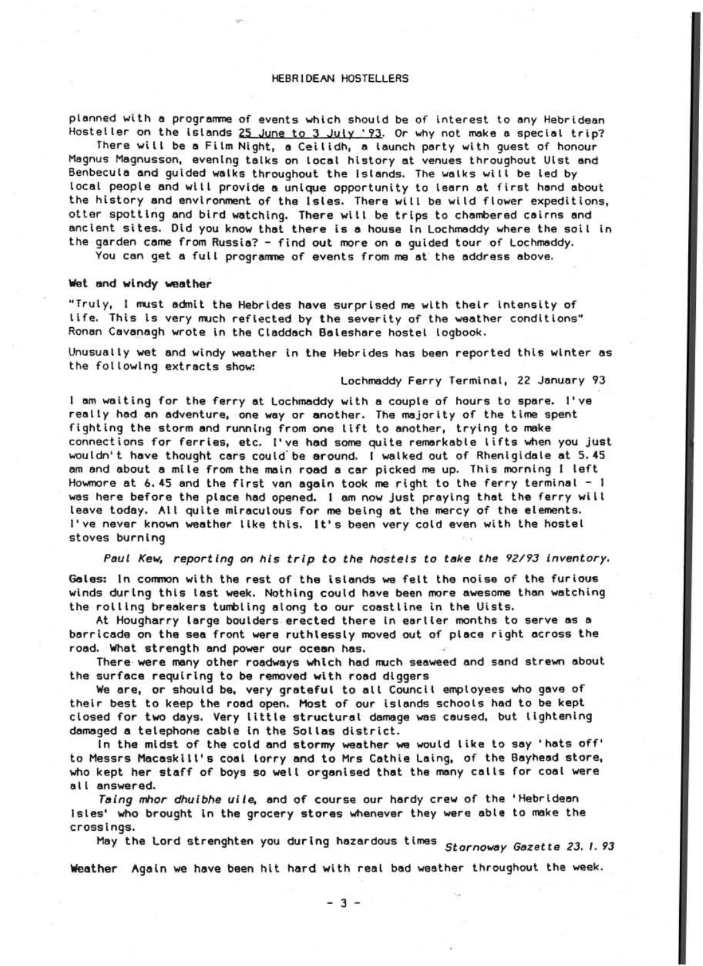## HEBR1DEAN HOSTELLERS

planned with a programme of events which should be of interest to any Hebridean Hosteller on the islands 25 June to 3 July '93. Or why not make a special trip?

There will be a Film Night, a Ceilidh, a launch party with quest of honour Magnus Magnusson, evening talks on local history at venues throughout Uist and Benbecula and guided walks throughout the Islands. The walks will be led by local people and will provide a unique opportunity to learn at first hand about the history and environment of the Isles. There will be wild flower expeditions, otter spotting and bird watching. There will be trips to chambered cairns and<br>ancient sites. Did you know that there is a house in Lochmaddy where the soil in the garden came from Russia? - find out more on a guided tour of Lochmaddy.

You can get a full programme of events from me at the address above.

## Wet and windy weather

"Truly, I must admit the Hebrides have surprised me with their intensity of life. This is very much reflected by the severity of the weather conditions" Ronan Cavanagh wrote in the Claddach Baleshare hostel logbook.

Unusually wet and windy weather In the Hebrides has been reported this winter as the following extracts show:

Lochmaddy Ferry Terminal, 22 January 93

I am waiting for the ferry at Lochmaddy with a couple of hours to spare. I've reelly had an adventure, one way or another. The majority of the time spent fighting the storm and running from one lift to another, trying to make connections for ferries, etc. I've had some quite remarkable lifts when you just wouldn't have thought cars could' be around. I walked out of Rhenigidale at S.4S am and about a mile from the mein road a cer picked me up. This morning I left Howmore et 6.4S and the first ven again took me right to the ferry terminal - I was here before the place had opened. I am now Just praying thet the ferry wi II leave today. All qUite miraculous for me being et the mercy of the elements. I've never known weather like this. It's been very cold even with the hostel stoves burning

Paul Kew, reporting on his trip to the hostels to take the 92/93 inventory.

Gales: In common with the rest of the islands we felt the noise of the furious winds during this last week. Nothing could heve been more awesome than wetching the rolling breakers tumbling along to our coastline in the Uists.

At Hougharry large boulders erected there in earlier months to serve as a barricade on the sea front were ruthlessly moved out of piece right across the road. What strength and power our ocean has.

There were many other roadways which had much seaweed and sand strewn about the surface requiring to be removed with road diggers

We are, or should be, very grateful to all Council employees who gave of their best to keep the road open. Most of our islands schools had to be kept closed for two days. Very little structural damage was caused, but lightening damaged a telephone cable In the Sollas district.

In the midst of the cold and stormy weather we would like to say 'hats off' to Messrs Macaskill's coal lorry and to Mrs Cathie Laing, of the Bayhead store, who kept her staff of boys so well organised that the many cells for coal were all answered.

Taing mhor dhuibhe uile, and of course our hardy crew of the 'Hebridean Isles' who brought in the grocery stores whenever they were able to make the crOSSings.

May the Lord strenghten you during hazardous times *Stornoway Gazette 23.1.93* 

Weather Again we have been hit hard with real bad weather throughout the week.

- 3 -